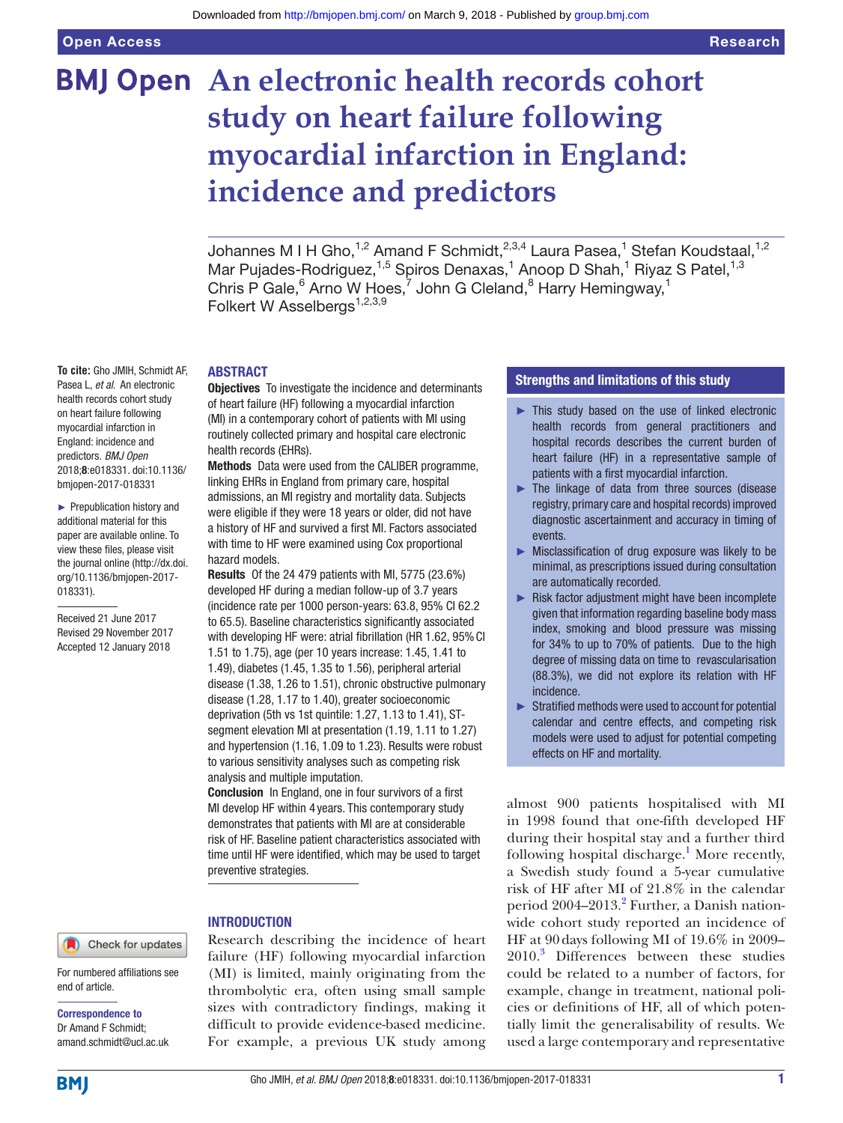# **BMJ Open** An electronic health records cohort **study on heart failure following myocardial infarction in England: incidence and predictors**

Johannes M I H Gho,<sup>1,2</sup> Amand F Schmidt,<sup>2,3,4</sup> Laura Pasea,<sup>1</sup> Stefan Koudstaal,<sup>1,2</sup> Mar Pujades-Rodriguez,<sup>1,5</sup> Spiros Denaxas,<sup>1</sup> Anoop D Shah,<sup>1</sup> Riyaz S Patel,<sup>1,3</sup> Chris P Gale,  $6$  Arno W Hoes,  $7$  John G Cleland,  $8$  Harry Hemingway,  $1$ Folkert W Asselbergs<sup>1,2,3,9</sup>

**To cite:** Gho JMIH, Schmidt AF, Pasea L, *et al*. An electronic health records cohort study on heart failure following myocardial infarction in England: incidence and predictors. *BMJ Open* 2018;8:e018331. doi:10.1136/ bmjopen-2017-018331

► Prepublication history and additional material for this paper are available online. To view these files, please visit the journal online [\(http://dx.doi.](http://dx.doi.org/10.1136/bmjopen-2017-018331) [org/10.1136/bmjopen-2017-](http://dx.doi.org/10.1136/bmjopen-2017-018331) [018331\)](http://dx.doi.org/10.1136/bmjopen-2017-018331).

Received 21 June 2017 Revised 29 November 2017 Accepted 12 January 2018

#### Check for updates

For numbered affiliations see end of article.

Correspondence to Dr Amand F Schmidt; amand.schmidt@ucl.ac.uk

# **ABSTRACT**

**Objectives** To investigate the incidence and determinants of heart failure (HF) following a myocardial infarction (MI) in a contemporary cohort of patients with MI using routinely collected primary and hospital care electronic health records (EHRs).

Methods Data were used from the CALIBER programme, linking EHRs in England from primary care, hospital admissions, an MI registry and mortality data. Subjects were eligible if they were 18 years or older, did not have a history of HF and survived a first MI. Factors associated with time to HF were examined using Cox proportional hazard models.

Results Of the 24 479 patients with MI, 5775 (23.6%) developed HF during a median follow-up of 3.7 years (incidence rate per 1000 person-years: 63.8, 95% CI 62.2 to 65.5). Baseline characteristics significantly associated with developing HF were: atrial fibrillation (HR 1.62, 95% CI 1.51 to 1.75), age (per 10 years increase: 1.45, 1.41 to 1.49), diabetes (1.45, 1.35 to 1.56), peripheral arterial disease (1.38, 1.26 to 1.51), chronic obstructive pulmonary disease (1.28, 1.17 to 1.40), greater socioeconomic deprivation (5th vs 1st quintile: 1.27, 1.13 to 1.41), STsegment elevation MI at presentation (1.19, 1.11 to 1.27) and hypertension (1.16, 1.09 to 1.23). Results were robust to various sensitivity analyses such as competing risk analysis and multiple imputation.

Conclusion In England, one in four survivors of a first MI develop HF within 4 years. This contemporary study demonstrates that patients with MI are at considerable risk of HF. Baseline patient characteristics associated with time until HF were identified, which may be used to target preventive strategies.

#### **INTRODUCTION**

Research describing the incidence of heart failure (HF) following myocardial infarction (MI) is limited, mainly originating from the thrombolytic era, often using small sample sizes with contradictory findings, making it difficult to provide evidence-based medicine. For example, a previous UK study among

# Strengths and limitations of this study

- ► This study based on the use of linked electronic health records from general practitioners and hospital records describes the current burden of heart failure (HF) in a representative sample of patients with a first myocardial infarction.
- ► The linkage of data from three sources (disease registry, primary care and hospital records) improved diagnostic ascertainment and accuracy in timing of events.
- ► Misclassification of drug exposure was likely to be minimal, as prescriptions issued during consultation are automatically recorded.
- ► Risk factor adjustment might have been incomplete given that information regarding baseline body mass index, smoking and blood pressure was missing for 34% to up to 70% of patients. Due to the high degree of missing data on time to revascularisation (88.3%), we did not explore its relation with HF incidence.
- ► Stratified methods were used to account for potential calendar and centre effects, and competing risk models were used to adjust for potential competing effects on HF and mortality.

almost 900 patients hospitalised with MI in 1998 found that one-fifth developed HF during their hospital stay and a further third following hospital discharge.<sup>[1](#page-9-0)</sup> More recently, a Swedish study found a 5-year cumulative risk of HF after MI of 21.8% in the calendar period [2](#page-9-1)004–2013.<sup>2</sup> Further, a Danish nationwide cohort study reported an incidence of HF at 90days following MI of 19.6% in 2009– 2010.[3](#page-9-2) Differences between these studies could be related to a number of factors, for example, change in treatment, national policies or definitions of HF, all of which potentially limit the generalisability of results. We used a large contemporary and representative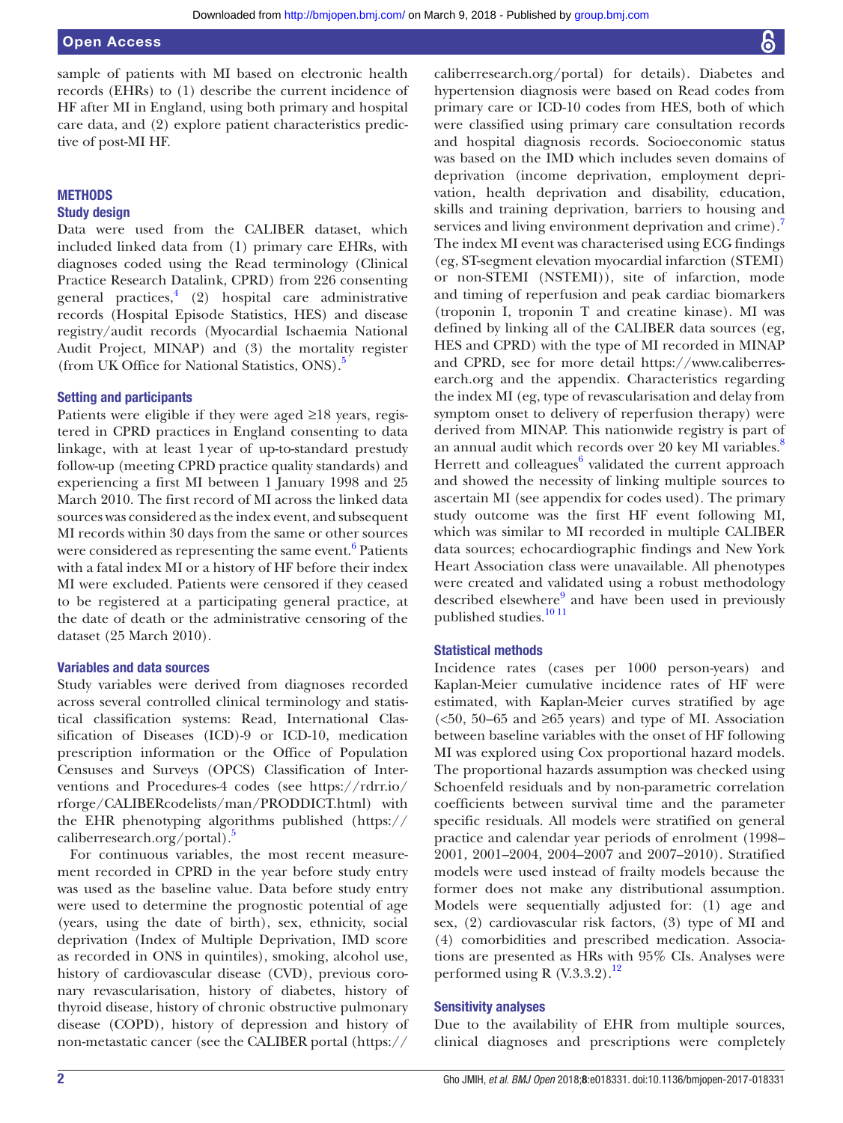sample of patients with MI based on electronic health records (EHRs) to (1) describe the current incidence of HF after MI in England, using both primary and hospital care data, and (2) explore patient characteristics predictive of post-MI HF.

# **METHODS**

# Study design

Data were used from the CALIBER dataset, which included linked data from (1) primary care EHRs, with diagnoses coded using the Read terminology (Clinical Practice Research Datalink, CPRD) from 226 consenting general practices,<sup>[4](#page-9-3)</sup> (2) hospital care administrative records (Hospital Episode Statistics, HES) and disease registry/audit records (Myocardial Ischaemia National Audit Project, MINAP) and (3) the mortality register (from UK Office for National Statistics, ONS).[5](#page-9-4)

## Setting and participants

Patients were eligible if they were aged ≥18 years, registered in CPRD practices in England consenting to data linkage, with at least 1year of up-to-standard prestudy follow-up (meeting CPRD practice quality standards) and experiencing a first MI between 1 January 1998 and 25 March 2010. The first record of MI across the linked data sources was considered as the index event, and subsequent MI records within 30 days from the same or other sources were considered as representing the same event. $^6$  Patients with a fatal index MI or a history of HF before their index MI were excluded. Patients were censored if they ceased to be registered at a participating general practice, at the date of death or the administrative censoring of the dataset (25 March 2010).

# Variables and data sources

Study variables were derived from diagnoses recorded across several controlled clinical terminology and statistical classification systems: Read, International Classification of Diseases (ICD)-9 or ICD-10, medication prescription information or the Office of Population Censuses and Surveys (OPCS) Classification of Interventions and Procedures-4 codes (see [https://rdrr.io/](https://rdrr.io/rforge/CALIBERcodelists/man/PRODDICT.html) [rforge/CALIBERcodelists/man/PRODDICT.html\)](https://rdrr.io/rforge/CALIBERcodelists/man/PRODDICT.html) with the EHR phenotyping algorithms published [\(https://](https://caliberresearch.org/portal) [caliberresearch.org/portal\)](https://caliberresearch.org/portal).<sup>5</sup>

For continuous variables, the most recent measurement recorded in CPRD in the year before study entry was used as the baseline value. Data before study entry were used to determine the prognostic potential of age (years, using the date of birth), sex, ethnicity, social deprivation (Index of Multiple Deprivation, IMD score as recorded in ONS in quintiles), smoking, alcohol use, history of cardiovascular disease (CVD), previous coronary revascularisation, history of diabetes, history of thyroid disease, history of chronic obstructive pulmonary disease (COPD), history of depression and history of non-metastatic cancer (see the CALIBER portal [\(https://](https://caliberresearch.org/portal)

[caliberresearch.org/portal\)](https://caliberresearch.org/portal) for details). Diabetes and hypertension diagnosis were based on Read codes from primary care or ICD-10 codes from HES, both of which were classified using primary care consultation records and hospital diagnosis records. Socioeconomic status was based on the IMD which includes seven domains of deprivation (income deprivation, employment deprivation, health deprivation and disability, education, skills and training deprivation, barriers to housing and services and living environment deprivation and crime). The index MI event was characterised using ECG findings (eg, ST-segment elevation myocardial infarction (STEMI) or non-STEMI (NSTEMI)), site of infarction, mode and timing of reperfusion and peak cardiac biomarkers (troponin I, troponin T and creatine kinase). MI was defined by linking all of the CALIBER data sources (eg, HES and CPRD) with the type of MI recorded in MINAP and CPRD, see for more detail [https://www.caliberres](https://www.caliberresearch.org)[earch.org](https://www.caliberresearch.org) and the appendix. Characteristics regarding the index MI (eg, type of revascularisation and delay from symptom onset to delivery of reperfusion therapy) were derived from MINAP. This nationwide registry is part of an annual audit which records over 20 key MI variables.<sup>8</sup> Herrett and colleagues<sup>[6](#page-9-5)</sup> validated the current approach and showed the necessity of linking multiple sources to ascertain MI (see appendix for codes used). The primary study outcome was the first HF event following MI, which was similar to MI recorded in multiple CALIBER data sources; echocardiographic findings and New York Heart Association class were unavailable. All phenotypes were created and validated using a robust methodology described elsewhere<sup>[9](#page-9-8)</sup> and have been used in previously published studies.<sup>10 11</sup>

## Statistical methods

Incidence rates (cases per 1000 person-years) and Kaplan-Meier cumulative incidence rates of HF were estimated, with Kaplan-Meier curves stratified by age ( $50, 50-65$  and  $\geq 65$  years) and type of MI. Association between baseline variables with the onset of HF following MI was explored using Cox proportional hazard models. The proportional hazards assumption was checked using Schoenfeld residuals and by non-parametric correlation coefficients between survival time and the parameter specific residuals. All models were stratified on general practice and calendar year periods of enrolment (1998– 2001, 2001–2004, 2004–2007 and 2007–2010). Stratified models were used instead of frailty models because the former does not make any distributional assumption. Models were sequentially adjusted for: (1) age and sex, (2) cardiovascular risk factors, (3) type of MI and (4) comorbidities and prescribed medication. Associations are presented as HRs with 95% CIs. Analyses were performed using R  $(V.3.3.2).$ <sup>12</sup>

#### Sensitivity analyses

Due to the availability of EHR from multiple sources, clinical diagnoses and prescriptions were completely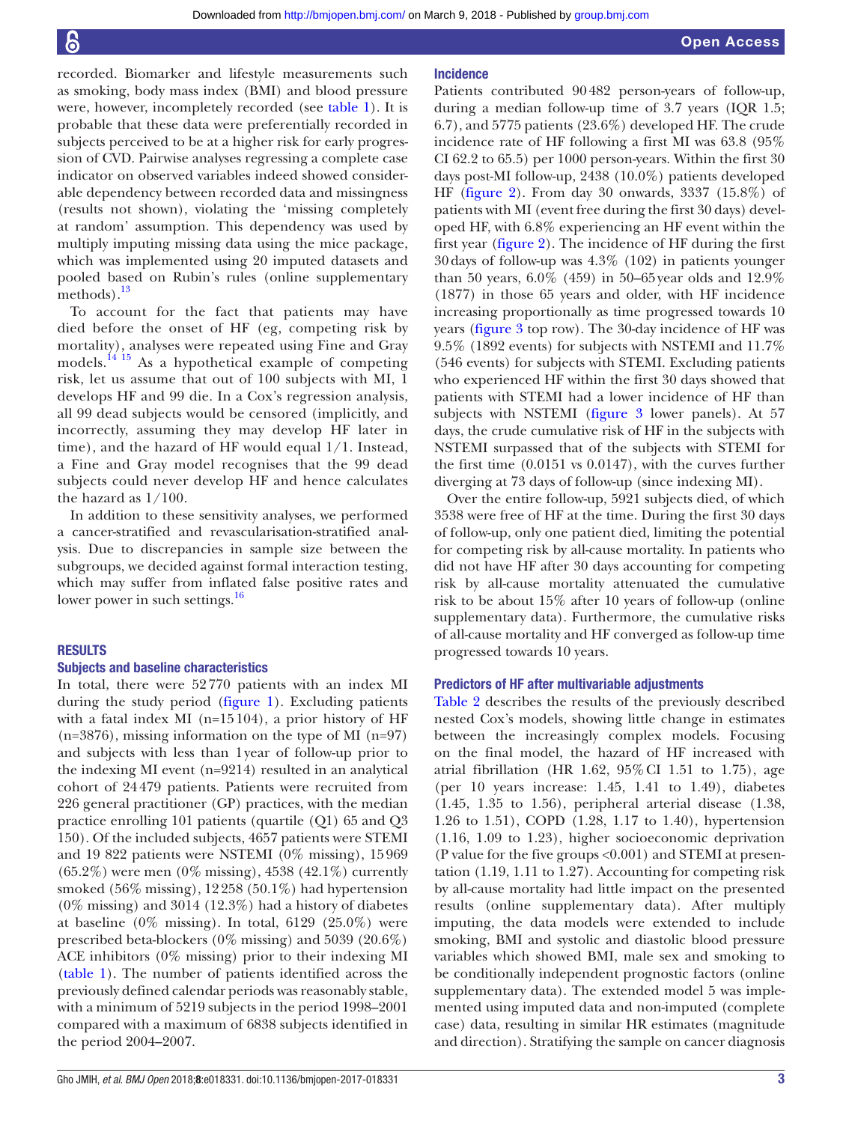recorded. Biomarker and lifestyle measurements such as smoking, body mass index (BMI) and blood pressure were, however, incompletely recorded (see [table](#page-3-0) 1). It is probable that these data were preferentially recorded in subjects perceived to be at a higher risk for early progression of CVD. Pairwise analyses regressing a complete case indicator on observed variables indeed showed considerable dependency between recorded data and missingness (results not shown), violating the 'missing completely at random' assumption. This dependency was used by multiply imputing missing data using the mice package, which was implemented using 20 imputed datasets and pooled based on Rubin's rules (online [supplementary](https://dx.doi.org/10.1136/bmjopen-2017-018331) [methods](https://dx.doi.org/10.1136/bmjopen-2017-018331)).<sup>13</sup>

To account for the fact that patients may have died before the onset of HF (eg, competing risk by mortality), analyses were repeated using Fine and Gray models.[14 15](#page-9-12) As a hypothetical example of competing risk, let us assume that out of 100 subjects with MI, 1 develops HF and 99 die. In a Cox's regression analysis, all 99 dead subjects would be censored (implicitly, and incorrectly, assuming they may develop HF later in time), and the hazard of HF would equal 1/1. Instead, a Fine and Gray model recognises that the 99 dead subjects could never develop HF and hence calculates the hazard as 1/100.

In addition to these sensitivity analyses, we performed a cancer-stratified and revascularisation-stratified analysis. Due to discrepancies in sample size between the subgroups, we decided against formal interaction testing, which may suffer from inflated false positive rates and lower power in such settings.<sup>[16](#page-9-13)</sup>

#### **RESULTS**

#### Subjects and baseline characteristics

In total, there were 52770 patients with an index MI during the study period [\(figure](#page-5-0) 1). Excluding patients with a fatal index MI (n=15104), a prior history of HF  $(n=3876)$ , missing information on the type of MI  $(n=97)$ and subjects with less than 1year of follow-up prior to the indexing MI event (n=9214) resulted in an analytical cohort of 24479 patients. Patients were recruited from 226 general practitioner (GP) practices, with the median practice enrolling 101 patients (quartile (Q1) 65 and Q3 150). Of the included subjects, 4657 patients were STEMI and 19 822 patients were NSTEMI (0% missing), 15969 (65.2%) were men (0% missing), 4538 (42.1%) currently smoked (56% missing), 12258 (50.1%) had hypertension (0% missing) and 3014 (12.3%) had a history of diabetes at baseline  $(0\%$  missing). In total,  $6129$   $(25.0\%)$  were prescribed beta-blockers (0% missing) and 5039 (20.6%) ACE inhibitors (0% missing) prior to their indexing MI ([table](#page-3-0) 1). The number of patients identified across the previously defined calendar periods was reasonably stable, with a minimum of 5219 subjects in the period 1998–2001 compared with a maximum of 6838 subjects identified in the period 2004–2007.

#### Incidence

Patients contributed 90482 person-years of follow-up, during a median follow-up time of 3.7 years (IQR 1.5; 6.7), and 5775 patients (23.6%) developed HF. The crude incidence rate of HF following a first MI was 63.8 (95% CI 62.2 to 65.5) per 1000 person-years. Within the first 30 days post-MI follow-up, 2438 (10.0%) patients developed HF [\(figure](#page-5-1) 2). From day 30 onwards, 3337 (15.8%) of patients with MI (event free during the first 30 days) developed HF, with 6.8% experiencing an HF event within the first year ([figure](#page-5-1) 2). The incidence of HF during the first 30days of follow-up was 4.3% (102) in patients younger than 50 years, 6.0% (459) in 50–65year olds and 12.9% (1877) in those 65 years and older, with HF incidence increasing proportionally as time progressed towards 10 years ([figure](#page-6-0) 3 top row). The 30-day incidence of HF was 9.5% (1892 events) for subjects with NSTEMI and 11.7% (546 events) for subjects with STEMI. Excluding patients who experienced HF within the first 30 days showed that patients with STEMI had a lower incidence of HF than subjects with NSTEMI ([figure](#page-6-0) 3 lower panels). At 57 days, the crude cumulative risk of HF in the subjects with NSTEMI surpassed that of the subjects with STEMI for the first time (0.0151 vs 0.0147), with the curves further diverging at 73 days of follow-up (since indexing MI).

Over the entire follow-up, 5921 subjects died, of which 3538 were free of HF at the time. During the first 30 days of follow-up, only one patient died, limiting the potential for competing risk by all-cause mortality. In patients who did not have HF after 30 days accounting for competing risk by all-cause mortality attenuated the cumulative risk to be about 15% after 10 years of follow-up (online [supplementary data\)](https://dx.doi.org/10.1136/bmjopen-2017-018331). Furthermore, the cumulative risks of all-cause mortality and HF converged as follow-up time progressed towards 10 years.

#### Predictors of HF after multivariable adjustments

[Table](#page-7-0) 2 describes the results of the previously described nested Cox's models, showing little change in estimates between the increasingly complex models. Focusing on the final model, the hazard of HF increased with atrial fibrillation (HR 1.62,  $95\%$  CI 1.51 to 1.75), age (per 10 years increase: 1.45, 1.41 to 1.49), diabetes (1.45, 1.35 to 1.56), peripheral arterial disease (1.38, 1.26 to 1.51), COPD (1.28, 1.17 to 1.40), hypertension (1.16, 1.09 to 1.23), higher socioeconomic deprivation (P value for the five groups <0.001) and STEMI at presentation (1.19, 1.11 to 1.27). Accounting for competing risk by all-cause mortality had little impact on the presented results (online [supplementary data](https://dx.doi.org/10.1136/bmjopen-2017-018331)). After multiply imputing, the data models were extended to include smoking, BMI and systolic and diastolic blood pressure variables which showed BMI, male sex and smoking to be conditionally independent prognostic factors (online [supplementary data\)](https://dx.doi.org/10.1136/bmjopen-2017-018331). The extended model 5 was implemented using imputed data and non-imputed (complete case) data, resulting in similar HR estimates (magnitude and direction). Stratifying the sample on cancer diagnosis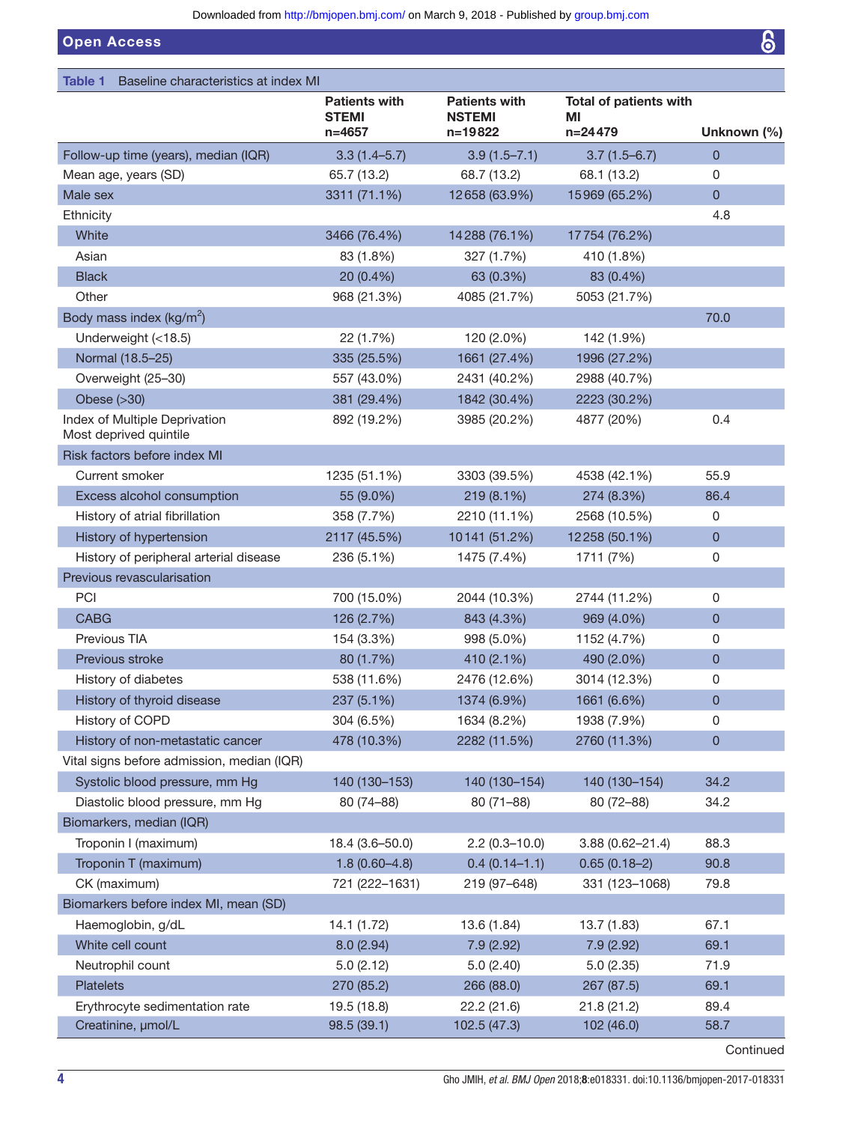Open Access

<span id="page-3-0"></span>

| Table 1<br>Baseline characteristics at index MI         |                                                    |                                                  |                                                  |              |
|---------------------------------------------------------|----------------------------------------------------|--------------------------------------------------|--------------------------------------------------|--------------|
|                                                         | <b>Patients with</b><br><b>STEMI</b><br>$n = 4657$ | <b>Patients with</b><br><b>NSTEMI</b><br>n=19822 | <b>Total of patients with</b><br>ΜI<br>$n=24479$ | Unknown (%)  |
| Follow-up time (years), median (IQR)                    | $3.3(1.4 - 5.7)$                                   | $3.9(1.5 - 7.1)$                                 | $3.7(1.5 - 6.7)$                                 | $\mathbf{0}$ |
| Mean age, years (SD)                                    | 65.7 (13.2)                                        | 68.7 (13.2)                                      | 68.1 (13.2)                                      | 0            |
| Male sex                                                | 3311 (71.1%)                                       | 12658 (63.9%)                                    | 15969 (65.2%)                                    | $\mathbf 0$  |
| Ethnicity                                               |                                                    |                                                  |                                                  | 4.8          |
| White                                                   | 3466 (76.4%)                                       | 14288 (76.1%)                                    | 17754 (76.2%)                                    |              |
| Asian                                                   | 83 (1.8%)                                          | 327 (1.7%)                                       | 410 (1.8%)                                       |              |
| <b>Black</b>                                            | 20 (0.4%)                                          | 63 (0.3%)                                        | 83 (0.4%)                                        |              |
| Other                                                   | 968 (21.3%)                                        | 4085 (21.7%)                                     | 5053 (21.7%)                                     |              |
| Body mass index ( $kg/m2$ )                             |                                                    |                                                  |                                                  | 70.0         |
| Underweight (<18.5)                                     | 22 (1.7%)                                          | 120 (2.0%)                                       | 142 (1.9%)                                       |              |
| Normal (18.5-25)                                        | 335 (25.5%)                                        | 1661 (27.4%)                                     | 1996 (27.2%)                                     |              |
| Overweight (25-30)                                      | 557 (43.0%)                                        | 2431 (40.2%)                                     | 2988 (40.7%)                                     |              |
| Obese $( >30)$                                          | 381 (29.4%)                                        | 1842 (30.4%)                                     | 2223 (30.2%)                                     |              |
| Index of Multiple Deprivation<br>Most deprived quintile | 892 (19.2%)                                        | 3985 (20.2%)                                     | 4877 (20%)                                       | 0.4          |
| Risk factors before index MI                            |                                                    |                                                  |                                                  |              |
| Current smoker                                          | 1235 (51.1%)                                       | 3303 (39.5%)                                     | 4538 (42.1%)                                     | 55.9         |
| Excess alcohol consumption                              | 55 (9.0%)                                          | 219 (8.1%)                                       | 274 (8.3%)                                       | 86.4         |
| History of atrial fibrillation                          | 358 (7.7%)                                         | 2210 (11.1%)                                     | 2568 (10.5%)                                     | 0            |
| History of hypertension                                 | 2117 (45.5%)                                       | 10141 (51.2%)                                    | 12258 (50.1%)                                    | $\mathbf{0}$ |
| History of peripheral arterial disease                  | 236 (5.1%)                                         | 1475 (7.4%)                                      | 1711 (7%)                                        | 0            |
| Previous revascularisation                              |                                                    |                                                  |                                                  |              |
| PCI                                                     | 700 (15.0%)                                        | 2044 (10.3%)                                     | 2744 (11.2%)                                     | 0            |
| <b>CABG</b>                                             | 126 (2.7%)                                         | 843 (4.3%)                                       | 969 (4.0%)                                       | $\mathbf 0$  |
| Previous TIA                                            | 154 (3.3%)                                         | 998 (5.0%)                                       | 1152 (4.7%)                                      | 0            |
| Previous stroke                                         | 80 (1.7%)                                          | 410 (2.1%)                                       | 490 (2.0%)                                       | $\mathbf 0$  |
| History of diabetes                                     | 538 (11.6%)                                        | 2476 (12.6%)                                     | 3014 (12.3%)                                     | 0            |
| History of thyroid disease                              | 237 (5.1%)                                         | 1374 (6.9%)                                      | 1661 (6.6%)                                      | $\mathbf 0$  |
| History of COPD                                         | 304 (6.5%)                                         | 1634 (8.2%)                                      | 1938 (7.9%)                                      | 0            |
| History of non-metastatic cancer                        | 478 (10.3%)                                        | 2282 (11.5%)                                     | 2760 (11.3%)                                     | $\mathbf 0$  |
| Vital signs before admission, median (IQR)              |                                                    |                                                  |                                                  |              |
| Systolic blood pressure, mm Hg                          | 140 (130-153)                                      | 140 (130-154)                                    | 140 (130-154)                                    | 34.2         |
| Diastolic blood pressure, mm Hg                         | 80 (74-88)                                         | $80(71 - 88)$                                    | 80 (72-88)                                       | 34.2         |
| Biomarkers, median (IQR)                                |                                                    |                                                  |                                                  |              |
| Troponin I (maximum)                                    | 18.4 (3.6-50.0)                                    | $2.2(0.3 - 10.0)$                                | $3.88(0.62 - 21.4)$                              | 88.3         |
| Troponin T (maximum)                                    | $1.8(0.60-4.8)$                                    | $0.4(0.14-1.1)$                                  | $0.65(0.18-2)$                                   | 90.8         |
| CK (maximum)                                            | 721 (222-1631)                                     | 219 (97-648)                                     | 331 (123-1068)                                   | 79.8         |
| Biomarkers before index MI, mean (SD)                   |                                                    |                                                  |                                                  |              |
| Haemoglobin, g/dL                                       | 14.1 (1.72)                                        | 13.6 (1.84)                                      | 13.7 (1.83)                                      | 67.1         |
| White cell count                                        | 8.0(2.94)                                          | 7.9(2.92)                                        | 7.9(2.92)                                        | 69.1         |
| Neutrophil count                                        | 5.0(2.12)                                          | 5.0(2.40)                                        | 5.0(2.35)                                        | 71.9         |
| Platelets                                               | 270 (85.2)                                         | 266 (88.0)                                       | 267 (87.5)                                       | 69.1         |
| Erythrocyte sedimentation rate                          | 19.5 (18.8)                                        | 22.2(21.6)                                       | 21.8(21.2)                                       | 89.4         |
| Creatinine, µmol/L                                      | 98.5 (39.1)                                        | 102.5 (47.3)                                     | 102(46.0)                                        | 58.7         |

Continued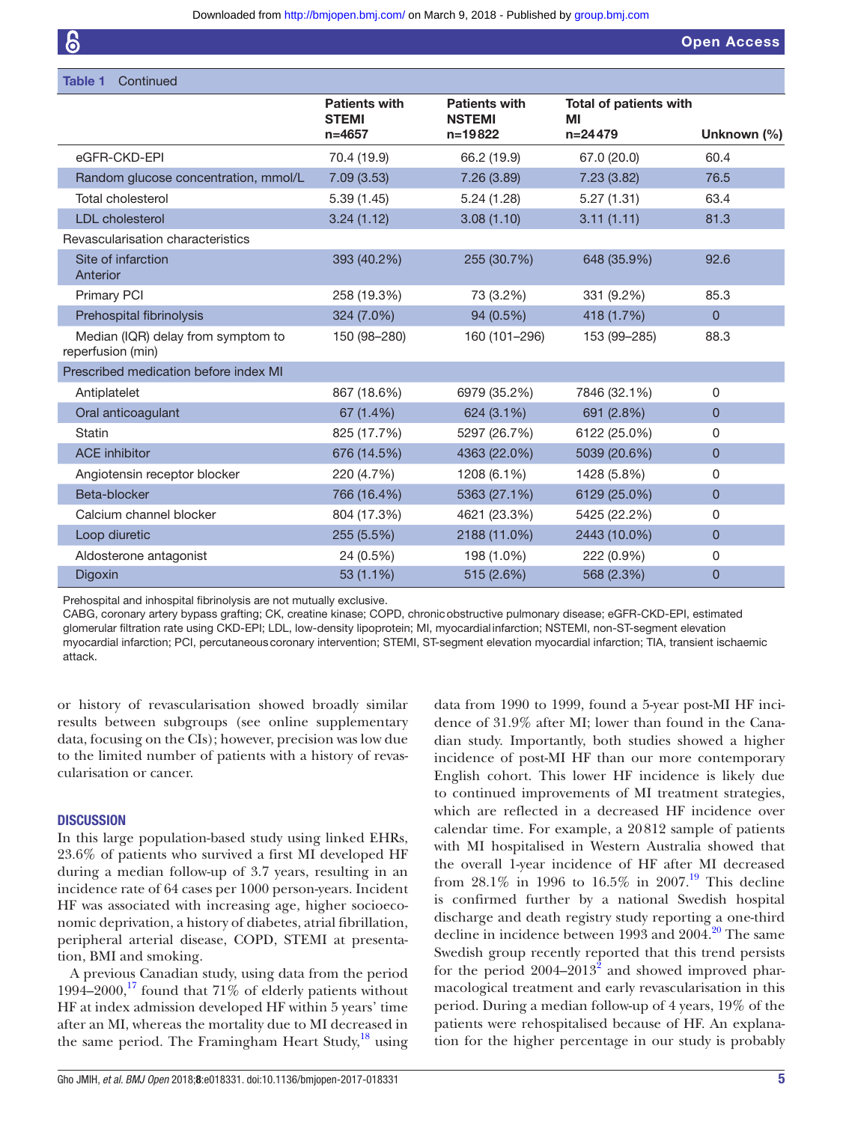| <b>Open Access</b> |  |
|--------------------|--|
|--------------------|--|

| <b>Table 1</b><br>Continued                             |                                      |                                       |                                     |                |
|---------------------------------------------------------|--------------------------------------|---------------------------------------|-------------------------------------|----------------|
|                                                         | <b>Patients with</b><br><b>STEMI</b> | <b>Patients with</b><br><b>NSTEMI</b> | <b>Total of patients with</b><br>MI |                |
|                                                         | $n = 4657$                           | $n = 19822$                           | $n=24479$                           | Unknown (%)    |
| eGFR-CKD-EPI                                            | 70.4 (19.9)                          | 66.2 (19.9)                           | 67.0 (20.0)                         | 60.4           |
| Random glucose concentration, mmol/L                    | 7.09(3.53)                           | 7.26(3.89)                            | 7.23(3.82)                          | 76.5           |
| Total cholesterol                                       | 5.39(1.45)                           | 5.24(1.28)                            | 5.27(1.31)                          | 63.4           |
| <b>LDL</b> cholesterol                                  | 3.24(1.12)                           | 3.08(1.10)                            | 3.11(1.11)                          | 81.3           |
| Revascularisation characteristics                       |                                      |                                       |                                     |                |
| Site of infarction<br>Anterior                          | 393 (40.2%)                          | 255 (30.7%)                           | 648 (35.9%)                         | 92.6           |
| <b>Primary PCI</b>                                      | 258 (19.3%)                          | 73 (3.2%)                             | 331 (9.2%)                          | 85.3           |
| Prehospital fibrinolysis                                | 324 (7.0%)                           | 94 (0.5%)                             | 418 (1.7%)                          | $\Omega$       |
| Median (IQR) delay from symptom to<br>reperfusion (min) | 150 (98-280)                         | 160 (101-296)                         | 153 (99-285)                        | 88.3           |
| Prescribed medication before index MI                   |                                      |                                       |                                     |                |
| Antiplatelet                                            | 867 (18.6%)                          | 6979 (35.2%)                          | 7846 (32.1%)                        | $\Omega$       |
| Oral anticoagulant                                      | 67 (1.4%)                            | 624 (3.1%)                            | 691 (2.8%)                          | $\overline{0}$ |
| Statin                                                  | 825 (17.7%)                          | 5297 (26.7%)                          | 6122 (25.0%)                        | $\Omega$       |
| <b>ACE</b> inhibitor                                    | 676 (14.5%)                          | 4363 (22.0%)                          | 5039 (20.6%)                        | $\overline{0}$ |
| Angiotensin receptor blocker                            | 220 (4.7%)                           | 1208 (6.1%)                           | 1428 (5.8%)                         | 0              |
| Beta-blocker                                            | 766 (16.4%)                          | 5363 (27.1%)                          | 6129 (25.0%)                        | $\overline{0}$ |
| Calcium channel blocker                                 | 804 (17.3%)                          | 4621 (23.3%)                          | 5425 (22.2%)                        | 0              |
| Loop diuretic                                           | 255 (5.5%)                           | 2188 (11.0%)                          | 2443 (10.0%)                        | $\Omega$       |
| Aldosterone antagonist                                  | 24 (0.5%)                            | 198 (1.0%)                            | 222 (0.9%)                          | 0              |
| Digoxin                                                 | 53 (1.1%)                            | 515 (2.6%)                            | 568 (2.3%)                          | $\overline{0}$ |

Prehospital and inhospital fibrinolysis are not mutually exclusive.

CABG, coronary artery bypass grafting; CK, creatine kinase; COPD, chronicobstructive pulmonary disease; eGFR-CKD-EPI, estimated glomerular filtration rate using CKD-EPI; LDL, low-density lipoprotein; MI, myocardial infarction; NSTEMI, non-ST-segment elevation myocardial infarction; PCI, percutaneouscoronary intervention; STEMI, ST-segment elevation myocardial infarction; TIA, transient ischaemic attack.

or history of revascularisation showed broadly similar results between subgroups (see online [supplementary](https://dx.doi.org/10.1136/bmjopen-2017-018331) [data](https://dx.doi.org/10.1136/bmjopen-2017-018331), focusing on the CIs); however, precision was low due to the limited number of patients with a history of revascularisation or cancer.

#### **DISCUSSION**

In this large population-based study using linked EHRs, 23.6% of patients who survived a first MI developed HF during a median follow-up of 3.7 years, resulting in an incidence rate of 64 cases per 1000 person-years. Incident HF was associated with increasing age, higher socioeconomic deprivation, a history of diabetes, atrial fibrillation, peripheral arterial disease, COPD, STEMI at presentation, BMI and smoking.

A previous Canadian study, using data from the period 1994–2000,<sup>17</sup> found that 71% of elderly patients without HF at index admission developed HF within 5 years' time after an MI, whereas the mortality due to MI decreased in the same period. The Framingham Heart Study, $^{18}$  $^{18}$  $^{18}$  using

Gho JMIH, *et al. BMJ Open* 2018;8:e018331. doi:10.1136/bmjopen-2017-018331 5

data from 1990 to 1999, found a 5-year post-MI HF incidence of 31.9% after MI; lower than found in the Canadian study. Importantly, both studies showed a higher incidence of post-MI HF than our more contemporary English cohort. This lower HF incidence is likely due to continued improvements of MI treatment strategies, which are reflected in a decreased HF incidence over calendar time. For example, a 20812 sample of patients with MI hospitalised in Western Australia showed that the overall 1-year incidence of HF after MI decreased from 28.1% in [19](#page-9-16)96 to 16.5% in 2007.<sup>19</sup> This decline is confirmed further by a national Swedish hospital discharge and death registry study reporting a one-third decline in incidence between 1993 and [20](#page-9-17)04.<sup>20</sup> The same Swedish group recently reported that this trend persists for the period  $2004-2013^2$  $2004-2013^2$  and showed improved pharmacological treatment and early revascularisation in this period. During a median follow-up of 4 years, 19% of the patients were rehospitalised because of HF. An explanation for the higher percentage in our study is probably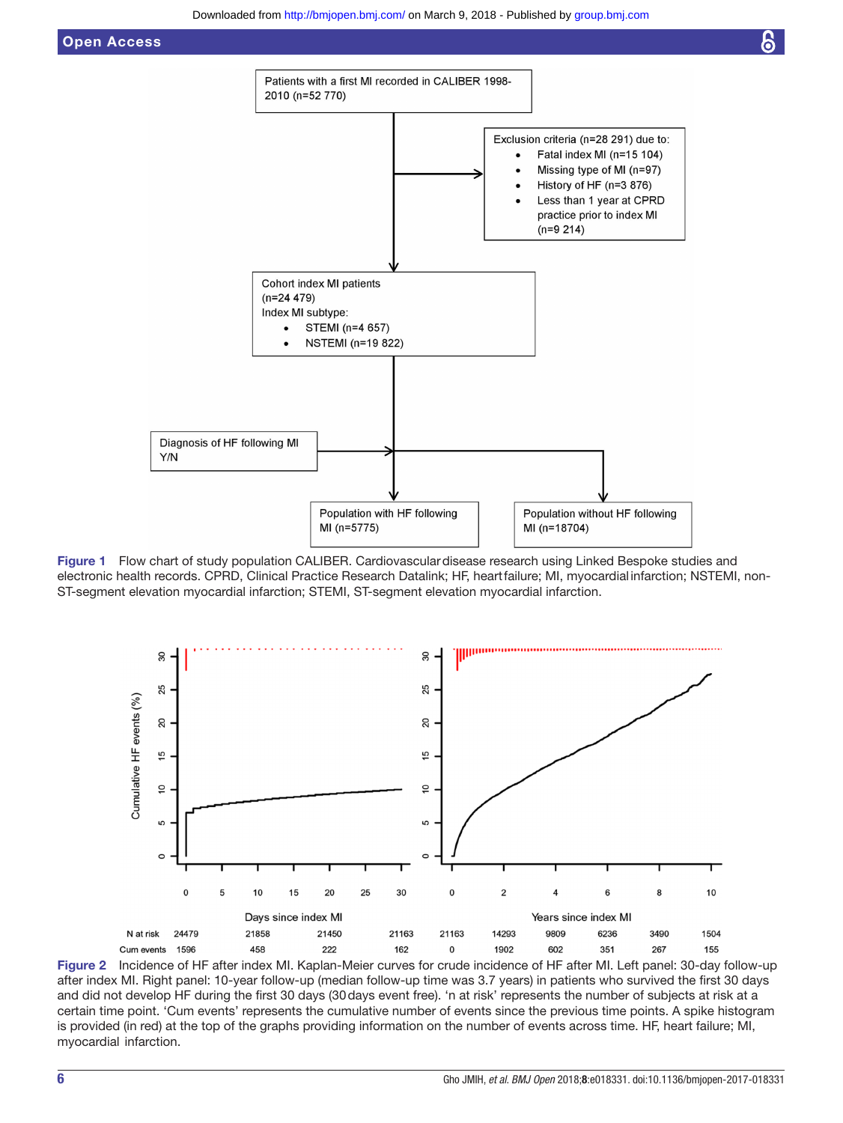

Figure 1 Flow chart of study population CALIBER. Cardiovascular disease research using Linked Bespoke studies and electronic health records. CPRD, Clinical Practice Research Datalink; HF, heartfailure; MI, myocardial infarction; NSTEMI, non-ST-segment elevation myocardial infarction; STEMI, ST-segment elevation myocardial infarction.

<span id="page-5-0"></span>

<span id="page-5-1"></span>Figure 2 Incidence of HF after index MI. Kaplan-Meier curves for crude incidence of HF after MI. Left panel: 30-day follow-up after index MI. Right panel: 10-year follow-up (median follow-up time was 3.7 years) in patients who survived the first 30 days and did not develop HF during the first 30 days (30days event free). 'n at risk' represents the number of subjects at risk at a certain time point. 'Cum events' represents the cumulative number of events since the previous time points. A spike histogram is provided (in red) at the top of the graphs providing information on the number of events across time. HF, heart failure; MI, myocardial infarction.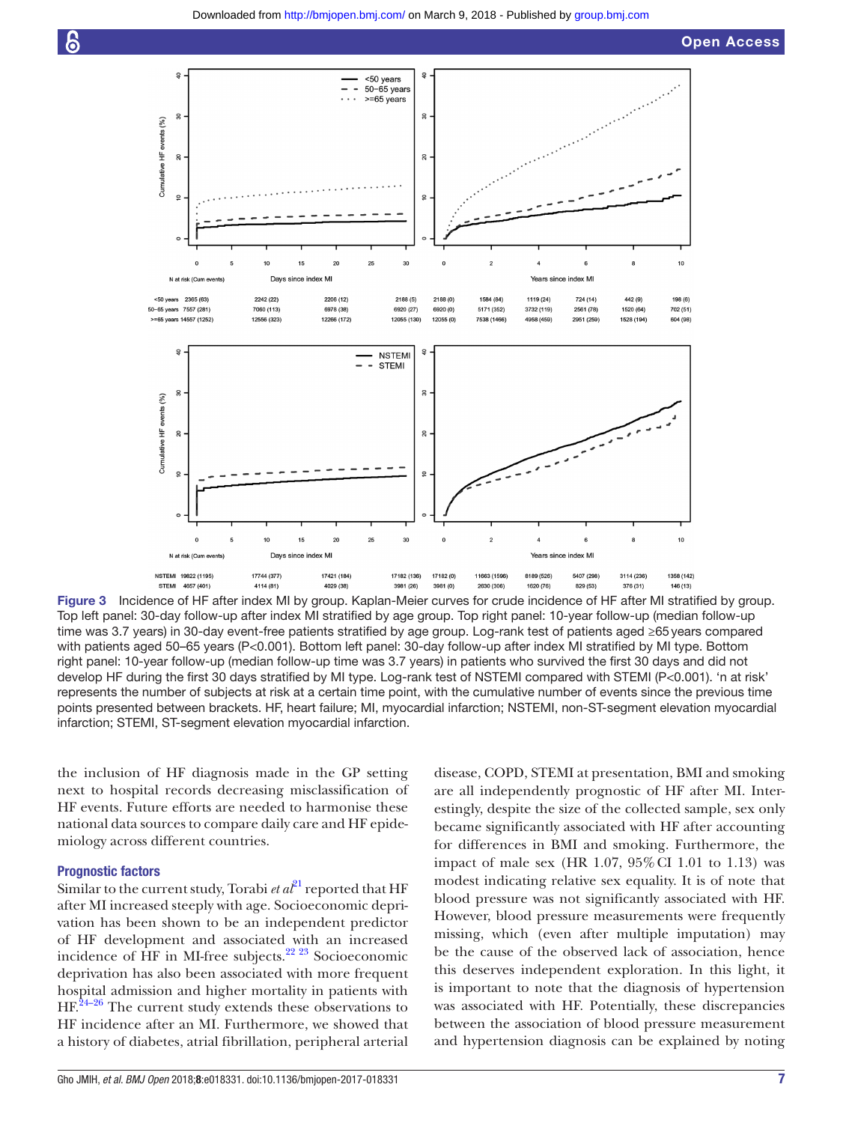



<span id="page-6-0"></span>Figure 3 Incidence of HF after index MI by group. Kaplan-Meier curves for crude incidence of HF after MI stratified by group. Top left panel: 30-day follow-up after index MI stratified by age group. Top right panel: 10-year follow-up (median follow-up time was 3.7 years) in 30-day event-free patients stratified by age group. Log-rank test of patients aged ≥65years compared with patients aged 50–65 years (P<0.001). Bottom left panel: 30-day follow-up after index MI stratified by MI type. Bottom right panel: 10-year follow-up (median follow-up time was 3.7 years) in patients who survived the first 30 days and did not develop HF during the first 30 days stratified by MI type. Log-rank test of NSTEMI compared with STEMI (P<0.001). 'n at risk' represents the number of subjects at risk at a certain time point, with the cumulative number of events since the previous time points presented between brackets. HF, heart failure; MI, myocardial infarction; NSTEMI, non-ST-segment elevation myocardial infarction; STEMI, ST-segment elevation myocardial infarction.

the inclusion of HF diagnosis made in the GP setting next to hospital records decreasing misclassification of HF events. Future efforts are needed to harmonise these national data sources to compare daily care and HF epidemiology across different countries.

#### Prognostic factors

Similar to the current study, Torabi *et al*<sup>21</sup> reported that HF after MI increased steeply with age. Socioeconomic deprivation has been shown to be an independent predictor of HF development and associated with an increased incidence of HF in MI-free subjects.<sup>[22 23](#page-9-19)</sup> Socioeconomic deprivation has also been associated with more frequent hospital admission and higher mortality in patients with  $HF<sup>24–26</sup>$  The current study extends these observations to HF incidence after an MI. Furthermore, we showed that a history of diabetes, atrial fibrillation, peripheral arterial

disease, COPD, STEMI at presentation, BMI and smoking are all independently prognostic of HF after MI. Interestingly, despite the size of the collected sample, sex only became significantly associated with HF after accounting for differences in BMI and smoking. Furthermore, the impact of male sex (HR 1.07, 95%CI 1.01 to 1.13) was modest indicating relative sex equality. It is of note that blood pressure was not significantly associated with HF. However, blood pressure measurements were frequently missing, which (even after multiple imputation) may be the cause of the observed lack of association, hence this deserves independent exploration. In this light, it is important to note that the diagnosis of hypertension was associated with HF. Potentially, these discrepancies between the association of blood pressure measurement and hypertension diagnosis can be explained by noting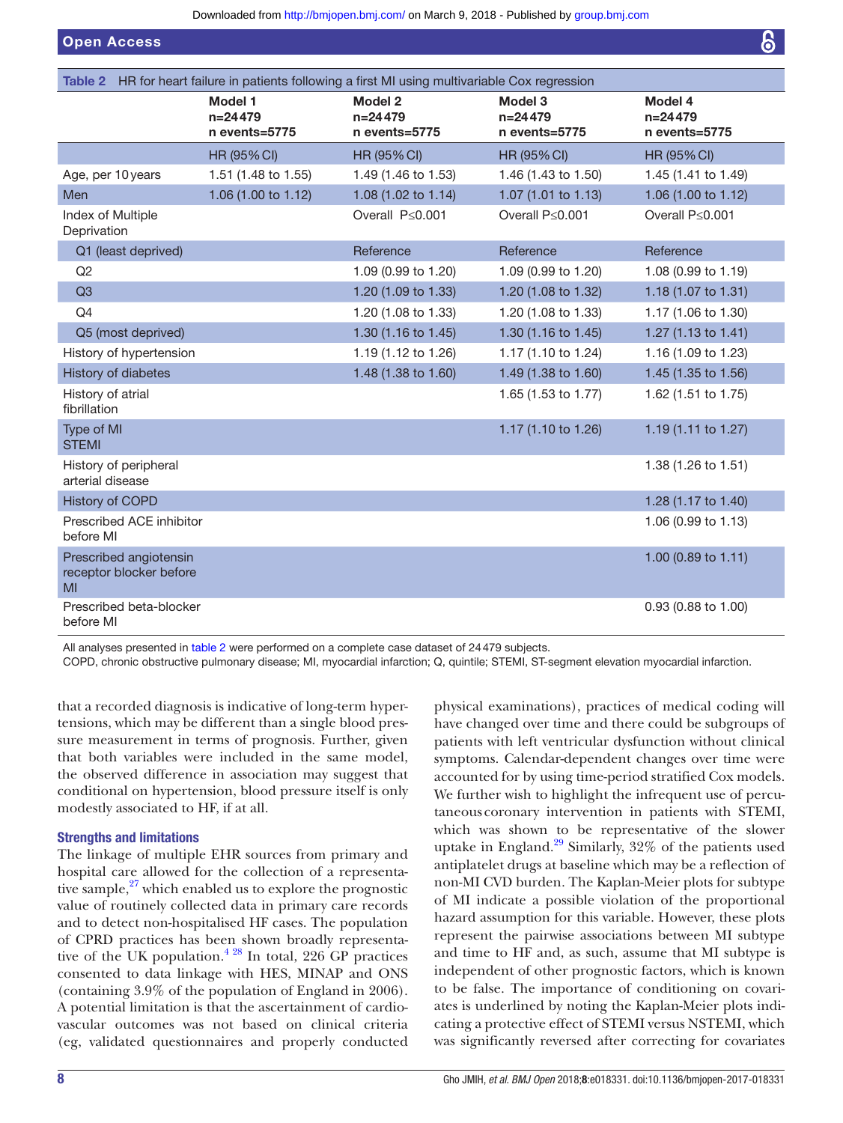Open Access

<span id="page-7-0"></span>

| Table 2 HR for heart failure in patients following a first MI using multivariable Cox regression |                                              |                                       |                                       |                                       |
|--------------------------------------------------------------------------------------------------|----------------------------------------------|---------------------------------------|---------------------------------------|---------------------------------------|
|                                                                                                  | <b>Model 1</b><br>$n=24479$<br>n events=5775 | Model 2<br>$n=24479$<br>n events=5775 | Model 3<br>$n=24479$<br>n events=5775 | Model 4<br>$n=24479$<br>n events=5775 |
|                                                                                                  | HR (95% CI)                                  | HR (95% CI)                           | <b>HR (95% CI)</b>                    | <b>HR (95% CI)</b>                    |
| Age, per 10 years                                                                                | 1.51 (1.48 to 1.55)                          | 1.49 (1.46 to 1.53)                   | 1.46 (1.43 to 1.50)                   | 1.45 (1.41 to 1.49)                   |
| Men                                                                                              | 1.06 (1.00 to 1.12)                          | 1.08 (1.02 to 1.14)                   | 1.07 (1.01 to 1.13)                   | 1.06 (1.00 to 1.12)                   |
| Index of Multiple<br>Deprivation                                                                 |                                              | Overall P≤0.001                       | Overall P≤0.001                       | Overall P≤0.001                       |
| Q1 (least deprived)                                                                              |                                              | Reference                             | Reference                             | Reference                             |
| Q2                                                                                               |                                              | 1.09 (0.99 to 1.20)                   | 1.09 (0.99 to 1.20)                   | 1.08 (0.99 to 1.19)                   |
| Q3                                                                                               |                                              | 1.20 (1.09 to 1.33)                   | 1.20 (1.08 to 1.32)                   | 1.18 (1.07 to 1.31)                   |
| Q4                                                                                               |                                              | 1.20 (1.08 to 1.33)                   | 1.20 (1.08 to 1.33)                   | 1.17 (1.06 to 1.30)                   |
| Q5 (most deprived)                                                                               |                                              | 1.30 (1.16 to 1.45)                   | 1.30 (1.16 to 1.45)                   | 1.27 (1.13 to 1.41)                   |
| History of hypertension                                                                          |                                              | 1.19 (1.12 to 1.26)                   | 1.17 (1.10 to 1.24)                   | 1.16 (1.09 to 1.23)                   |
| History of diabetes                                                                              |                                              | 1.48 (1.38 to 1.60)                   | 1.49 (1.38 to 1.60)                   | 1.45 (1.35 to 1.56)                   |
| History of atrial<br>fibrillation                                                                |                                              |                                       | 1.65 (1.53 to 1.77)                   | 1.62 (1.51 to 1.75)                   |
| Type of MI<br><b>STEMI</b>                                                                       |                                              |                                       | 1.17 (1.10 to 1.26)                   | 1.19 (1.11 to 1.27)                   |
| History of peripheral<br>arterial disease                                                        |                                              |                                       |                                       | 1.38 (1.26 to 1.51)                   |
| <b>History of COPD</b>                                                                           |                                              |                                       |                                       | 1.28 (1.17 to 1.40)                   |
| Prescribed ACE inhibitor<br>before MI                                                            |                                              |                                       |                                       | 1.06 (0.99 to 1.13)                   |
| Prescribed angiotensin<br>receptor blocker before<br>MI                                          |                                              |                                       |                                       | 1.00 (0.89 to 1.11)                   |
| Prescribed beta-blocker<br>before MI                                                             |                                              |                                       |                                       | 0.93 (0.88 to 1.00)                   |

All analyses presented in [table 2](#page-7-0) were performed on a complete case dataset of 24479 subjects.

COPD, chronic obstructive pulmonary disease; MI, myocardial infarction; Q, quintile; STEMI, ST-segment elevation myocardial infarction.

that a recorded diagnosis is indicative of long-term hypertensions, which may be different than a single blood pressure measurement in terms of prognosis. Further, given that both variables were included in the same model, the observed difference in association may suggest that conditional on hypertension, blood pressure itself is only modestly associated to HF, if at all.

# Strengths and limitations

The linkage of multiple EHR sources from primary and hospital care allowed for the collection of a representative sample, $27$  which enabled us to explore the prognostic value of routinely collected data in primary care records and to detect non-hospitalised HF cases. The population of CPRD practices has been shown broadly representative of the UK population. $4^{28}$  In total, 226 GP practices consented to data linkage with HES, MINAP and ONS (containing 3.9% of the population of England in 2006). A potential limitation is that the ascertainment of cardiovascular outcomes was not based on clinical criteria (eg, validated questionnaires and properly conducted

physical examinations), practices of medical coding will have changed over time and there could be subgroups of patients with left ventricular dysfunction without clinical symptoms. Calendar-dependent changes over time were accounted for by using time-period stratified Cox models. We further wish to highlight the infrequent use of percutaneous coronary intervention in patients with STEMI, which was shown to be representative of the slower uptake in England.<sup>29</sup> Similarly,  $32\%$  of the patients used antiplatelet drugs at baseline which may be a reflection of non-MI CVD burden. The Kaplan-Meier plots for subtype of MI indicate a possible violation of the proportional hazard assumption for this variable. However, these plots represent the pairwise associations between MI subtype and time to HF and, as such, assume that MI subtype is independent of other prognostic factors, which is known to be false. The importance of conditioning on covariates is underlined by noting the Kaplan-Meier plots indicating a protective effect of STEMI versus NSTEMI, which was significantly reversed after correcting for covariates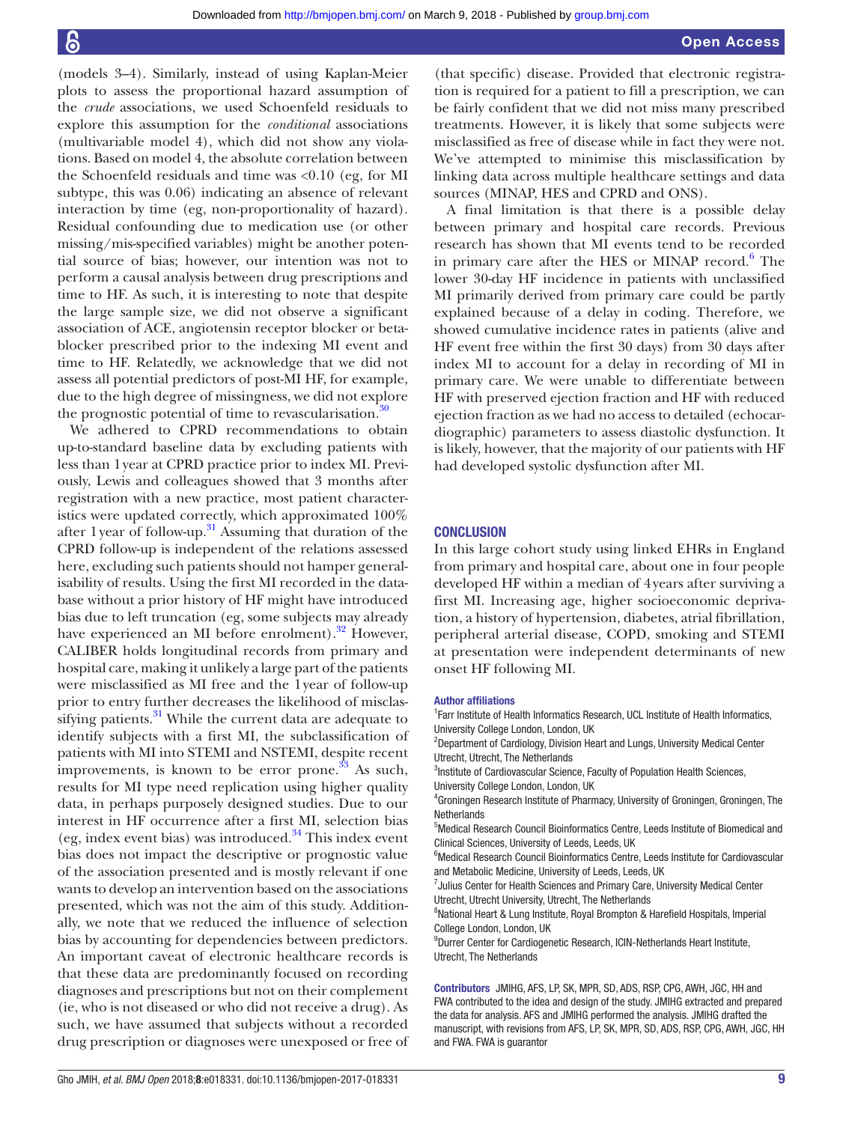(models 3–4). Similarly, instead of using Kaplan-Meier plots to assess the proportional hazard assumption of the *crude* associations, we used Schoenfeld residuals to explore this assumption for the *conditional* associations (multivariable model 4), which did not show any violations. Based on model 4, the absolute correlation between the Schoenfeld residuals and time was <0.10 (eg, for MI subtype, this was 0.06) indicating an absence of relevant interaction by time (eg, non-proportionality of hazard). Residual confounding due to medication use (or other missing/mis-specified variables) might be another potential source of bias; however, our intention was not to perform a causal analysis between drug prescriptions and time to HF. As such, it is interesting to note that despite the large sample size, we did not observe a significant association of ACE, angiotensin receptor blocker or betablocker prescribed prior to the indexing MI event and time to HF. Relatedly, we acknowledge that we did not assess all potential predictors of post-MI HF, for example, due to the high degree of missingness, we did not explore the prognostic potential of time to revascularisation. $30$ 

We adhered to CPRD recommendations to obtain up-to-standard baseline data by excluding patients with less than 1year at CPRD practice prior to index MI. Previously, Lewis and colleagues showed that 3 months after registration with a new practice, most patient characteristics were updated correctly, which approximated 100% after 1 year of follow-up. $31$  Assuming that duration of the CPRD follow-up is independent of the relations assessed here, excluding such patients should not hamper generalisability of results. Using the first MI recorded in the database without a prior history of HF might have introduced bias due to left truncation (eg, some subjects may already have experienced an MI before enrolment). $32$  However, CALIBER holds longitudinal records from primary and hospital care, making it unlikely a large part of the patients were misclassified as MI free and the 1year of follow-up prior to entry further decreases the likelihood of misclassifying patients. $31$  While the current data are adequate to identify subjects with a first MI, the subclassification of patients with MI into STEMI and NSTEMI, despite recent improvements, is known to be error prone. $33$  As such, results for MI type need replication using higher quality data, in perhaps purposely designed studies. Due to our interest in HF occurrence after a first MI, selection bias (eg, index event bias) was introduced. $34$  This index event bias does not impact the descriptive or prognostic value of the association presented and is mostly relevant if one wants to develop an intervention based on the associations presented, which was not the aim of this study. Additionally, we note that we reduced the influence of selection bias by accounting for dependencies between predictors. An important caveat of electronic healthcare records is that these data are predominantly focused on recording diagnoses and prescriptions but not on their complement (ie, who is not diseased or who did not receive a drug). As such, we have assumed that subjects without a recorded drug prescription or diagnoses were unexposed or free of

(that specific) disease. Provided that electronic registration is required for a patient to fill a prescription, we can be fairly confident that we did not miss many prescribed treatments. However, it is likely that some subjects were misclassified as free of disease while in fact they were not. We've attempted to minimise this misclassification by linking data across multiple healthcare settings and data sources (MINAP, HES and CPRD and ONS).

A final limitation is that there is a possible delay between primary and hospital care records. Previous research has shown that MI events tend to be recorded in primary care after the HES or MINAP record.<sup>[6](#page-9-5)</sup> The lower 30-day HF incidence in patients with unclassified MI primarily derived from primary care could be partly explained because of a delay in coding. Therefore, we showed cumulative incidence rates in patients (alive and HF event free within the first 30 days) from 30 days after index MI to account for a delay in recording of MI in primary care. We were unable to differentiate between HF with preserved ejection fraction and HF with reduced ejection fraction as we had no access to detailed (echocardiographic) parameters to assess diastolic dysfunction. It is likely, however, that the majority of our patients with HF had developed systolic dysfunction after MI.

#### **CONCLUSION**

In this large cohort study using linked EHRs in England from primary and hospital care, about one in four people developed HF within a median of 4years after surviving a first MI. Increasing age, higher socioeconomic deprivation, a history of hypertension, diabetes, atrial fibrillation, peripheral arterial disease, COPD, smoking and STEMI at presentation were independent determinants of new onset HF following MI.

#### Author affiliations

<sup>1</sup> Farr Institute of Health Informatics Research, UCL Institute of Health Informatics, University College London, London, UK

<sup>2</sup>Department of Cardiology, Division Heart and Lungs, University Medical Center Utrecht, Utrecht, The Netherlands

3 Institute of Cardiovascular Science, Faculty of Population Health Sciences, University College London, London, UK

4 Groningen Research Institute of Pharmacy, University of Groningen, Groningen, The **Netherlands** 

5 Medical Research Council Bioinformatics Centre, Leeds Institute of Biomedical and Clinical Sciences, University of Leeds, Leeds, UK

<sup>6</sup>Medical Research Council Bioinformatics Centre, Leeds Institute for Cardiovascular and Metabolic Medicine, University of Leeds, Leeds, UK

<sup>7</sup> Julius Center for Health Sciences and Primary Care, University Medical Center Utrecht, Utrecht University, Utrecht, The Netherlands

<sup>8</sup>National Heart & Lung Institute, Royal Brompton & Harefield Hospitals, Imperial College London, London, UK

9 Durrer Center for Cardiogenetic Research, ICIN-Netherlands Heart Institute, Utrecht, The Netherlands

Contributors JMIHG, AFS, LP, SK, MPR, SD, ADS, RSP, CPG, AWH, JGC, HH and FWA contributed to the idea and design of the study. JMIHG extracted and prepared the data for analysis. AFS and JMIHG performed the analysis. JMIHG drafted the manuscript, with revisions from AFS, LP, SK, MPR, SD, ADS, RSP, CPG, AWH, JGC, HH and FWA. FWA is guarantor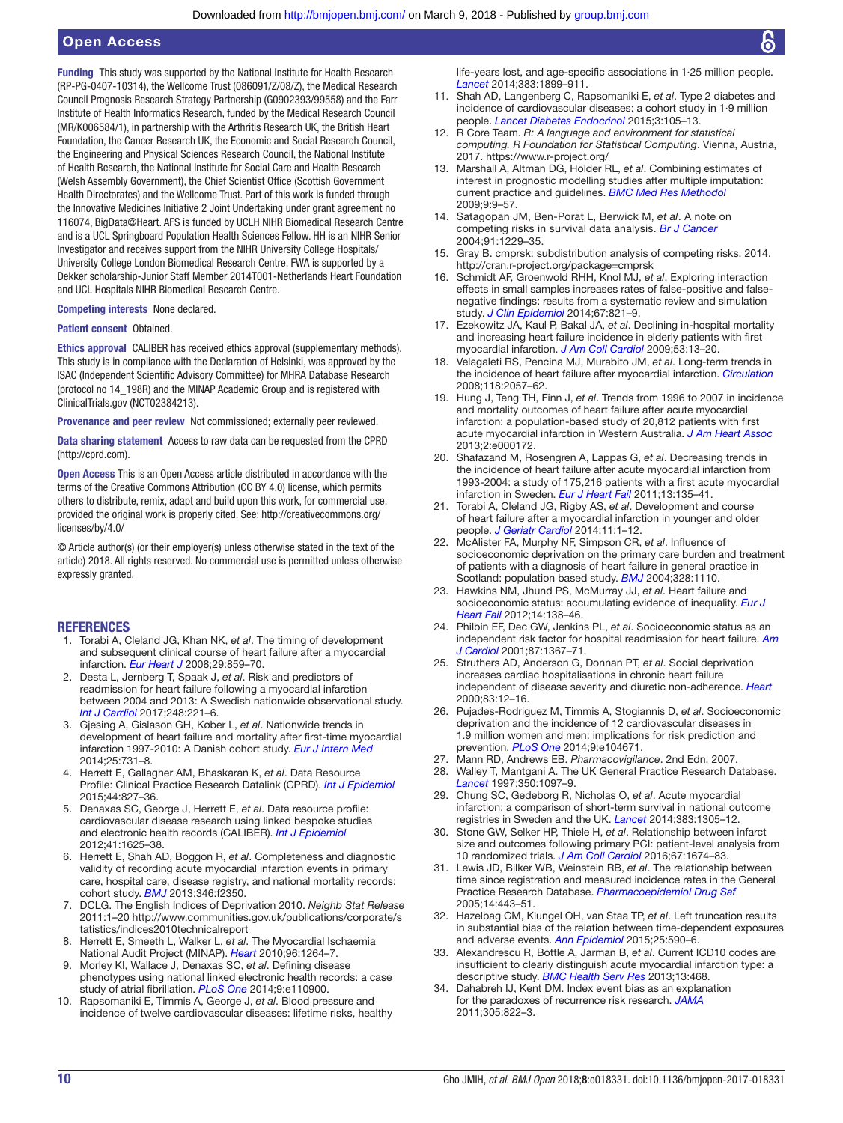Funding This study was supported by the National Institute for Health Research (RP-PG-0407-10314), the Wellcome Trust (086091/Z/08/Z), the Medical Research Council Prognosis Research Strategy Partnership (G0902393/99558) and the Farr Institute of Health Informatics Research, funded by the Medical Research Council (MR/K006584/1), in partnership with the Arthritis Research UK, the British Heart Foundation, the Cancer Research UK, the Economic and Social Research Council, the Engineering and Physical Sciences Research Council, the National Institute of Health Research, the National Institute for Social Care and Health Research (Welsh Assembly Government), the Chief Scientist Office (Scottish Government Health Directorates) and the Wellcome Trust. Part of this work is funded through the Innovative Medicines Initiative 2 Joint Undertaking under grant agreement no 116074, BigData@Heart. AFS is funded by UCLH NIHR Biomedical Research Centre and is a UCL Springboard Population Health Sciences Fellow. HH is an NIHR Senior Investigator and receives support from the NIHR University College Hospitals/ University College London Biomedical Research Centre. FWA is supported by a Dekker scholarship-Junior Staff Member 2014T001-Netherlands Heart Foundation and UCL Hospitals NIHR Biomedical Research Centre.

Competing interests None declared.

#### Patient consent Obtained.

Ethics approval CALIBER has received ethics approval (supplementary methods). This study is in compliance with the Declaration of Helsinki, was approved by the ISAC (Independent Scientific Advisory Committee) for MHRA Database Research (protocol no 14\_198R) and the MINAP Academic Group and is registered with ClinicalTrials.gov (NCT02384213).

Provenance and peer review Not commissioned; externally peer reviewed.

Data sharing statement Access to raw data can be requested from the CPRD [\(http://cprd.com\)](http://cprd.com).

Open Access This is an Open Access article distributed in accordance with the terms of the Creative Commons Attribution (CC BY 4.0) license, which permits others to distribute, remix, adapt and build upon this work, for commercial use, provided the original work is properly cited. See: [http://creativecommons.org/](http://creativecommons.org/licenses/by/4.0/) [licenses/by/4.0/](http://creativecommons.org/licenses/by/4.0/)

© Article author(s) (or their employer(s) unless otherwise stated in the text of the article) 2018. All rights reserved. No commercial use is permitted unless otherwise expressly granted.

#### **REFERENCES**

- <span id="page-9-0"></span>1. Torabi A, Cleland JG, Khan NK, *et al*. The timing of development and subsequent clinical course of heart failure after a myocardial infarction. *[Eur Heart J](http://dx.doi.org/10.1093/eurheartj/ehn096)* 2008;29:859–70.
- <span id="page-9-1"></span>2. Desta L, Jernberg T, Spaak J, *et al*. Risk and predictors of readmission for heart failure following a myocardial infarction between 2004 and 2013: A Swedish nationwide observational study. *[Int J Cardiol](http://dx.doi.org/10.1016/j.ijcard.2017.05.086)* 2017;248:221–6.
- <span id="page-9-2"></span>3. Gjesing A, Gislason GH, Køber L, *et al*. Nationwide trends in development of heart failure and mortality after first-time myocardial infarction 1997-2010: A Danish cohort study. *[Eur J Intern Med](http://dx.doi.org/10.1016/j.ejim.2014.08.009)* 2014;25:731–8.
- <span id="page-9-3"></span>4. Herrett E, Gallagher AM, Bhaskaran K, *et al*. Data Resource Profile: Clinical Practice Research Datalink (CPRD). *[Int J Epidemiol](http://dx.doi.org/10.1093/ije/dyv098)* 2015;44:827–36.
- <span id="page-9-4"></span>5. Denaxas SC, George J, Herrett E, *et al*. Data resource profile: cardiovascular disease research using linked bespoke studies and electronic health records (CALIBER). *[Int J Epidemiol](http://dx.doi.org/10.1093/ije/dys188)* 2012;41:1625–38.
- <span id="page-9-5"></span>6. Herrett E, Shah AD, Boggon R, *et al*. Completeness and diagnostic validity of recording acute myocardial infarction events in primary care, hospital care, disease registry, and national mortality records: cohort study. *[BMJ](http://dx.doi.org/10.1136/bmj.f2350)* 2013;346:f2350.
- <span id="page-9-6"></span>7. DCLG. The English Indices of Deprivation 2010. *Neighb Stat Release* 2011:1–20 [http://www.communities.gov.uk/publications/corporate/s](http://www.communities.gov.uk/publications/corporate/statistics/indices2010technicalreport) [tatistics/indices2010technicalreport](http://www.communities.gov.uk/publications/corporate/statistics/indices2010technicalreport)
- <span id="page-9-7"></span>8. Herrett E, Smeeth L, Walker L, *et al*. The Myocardial Ischaemia National Audit Project (MINAP). *[Heart](http://dx.doi.org/10.1136/hrt.2009.192328)* 2010;96:1264–7.
- <span id="page-9-8"></span>9. Morley KI, Wallace J, Denaxas SC, *et al*. Defining disease phenotypes using national linked electronic health records: a case study of atrial fibrillation. *[PLoS One](http://dx.doi.org/10.1371/journal.pone.0110900)* 2014;9:e110900.
- <span id="page-9-9"></span>10. Rapsomaniki E, Timmis A, George J, *et al*. Blood pressure and incidence of twelve cardiovascular diseases: lifetime risks, healthy

life-years lost, and age-specific associations in 1·25 million people. *[Lancet](http://dx.doi.org/10.1016/S0140-6736(14)60685-1)* 2014;383:1899–911.

- 11. Shah AD, Langenberg C, Rapsomaniki E, *et al*. Type 2 diabetes and incidence of cardiovascular diseases: a cohort study in 1·9 million people. *[Lancet Diabetes Endocrinol](http://dx.doi.org/10.1016/S2213-8587(14)70219-0)* 2015;3:105–13.
- <span id="page-9-10"></span>12. R Core Team. *R: A language and environment for statistical computing. R Foundation for Statistical Computing*. Vienna, Austria, 2017. <https://www.r-project.org/>
- <span id="page-9-11"></span>13. Marshall A, Altman DG, Holder RL, *et al*. Combining estimates of interest in prognostic modelling studies after multiple imputation: current practice and guidelines. *[BMC Med Res Methodol](http://dx.doi.org/10.1186/1471-2288-9-57)* 2009;9:9–57.
- <span id="page-9-12"></span>14. Satagopan JM, Ben-Porat L, Berwick M, *et al*. A note on competing risks in survival data analysis. *[Br J Cancer](http://dx.doi.org/10.1038/sj.bjc.6602102)* 2004;91:1229–35.
- 15. Gray B. cmprsk: subdistribution analysis of competing risks. 2014. <http://cran.r-project.org/package=cmprsk>
- <span id="page-9-13"></span>16. Schmidt AF, Groenwold RHH, Knol MJ, *et al*. Exploring interaction effects in small samples increases rates of false-positive and falsenegative findings: results from a systematic review and simulation study. *[J Clin Epidemiol](http://dx.doi.org/10.1016/j.jclinepi.2014.02.008)* 2014;67:821–9.
- <span id="page-9-14"></span>17. Ezekowitz JA, Kaul P, Bakal JA, *et al*. Declining in-hospital mortality and increasing heart failure incidence in elderly patients with first myocardial infarction. *[J Am Coll Cardiol](http://dx.doi.org/10.1016/j.jacc.2008.08.067)* 2009;53:13–20.
- <span id="page-9-15"></span>18. Velagaleti RS, Pencina MJ, Murabito JM, *et al*. Long-term trends in the incidence of heart failure after myocardial infarction. *[Circulation](http://dx.doi.org/10.1161/CIRCULATIONAHA.108.784215)* 2008;118:2057–62.
- <span id="page-9-16"></span>19. Hung J, Teng TH, Finn J, *et al*. Trends from 1996 to 2007 in incidence and mortality outcomes of heart failure after acute myocardial infarction: a population-based study of 20,812 patients with first acute myocardial infarction in Western Australia. *[J Am Heart Assoc](http://dx.doi.org/10.1161/JAHA.113.000172)* 2013;2:e000172.
- <span id="page-9-17"></span>20. Shafazand M, Rosengren A, Lappas G, *et al*. Decreasing trends in the incidence of heart failure after acute myocardial infarction from 1993-2004: a study of 175,216 patients with a first acute myocardial infarction in Sweden. *[Eur J Heart Fail](http://dx.doi.org/10.1093/eurjhf/hfq205)* 2011;13:135–41.
- <span id="page-9-18"></span>21. Torabi A, Cleland JG, Rigby AS, *et al*. Development and course of heart failure after a myocardial infarction in younger and older people. *[J Geriatr Cardiol](http://dx.doi.org/10.3969/j.issn.1671-5411.2014.01.002)* 2014;11:1–12.
- <span id="page-9-19"></span>22. McAlister FA, Murphy NF, Simpson CR, *et al*. Influence of socioeconomic deprivation on the primary care burden and treatment of patients with a diagnosis of heart failure in general practice in Scotland: population based study. *[BMJ](http://dx.doi.org/10.1136/bmj.38043.414074.EE)* 2004;328:1110.
- 23. Hawkins NM, Jhund PS, McMurray JJ, *et al*. Heart failure and socioeconomic status: accumulating evidence of inequality. *[Eur J](http://dx.doi.org/10.1093/eurjhf/hfr168)  [Heart Fail](http://dx.doi.org/10.1093/eurjhf/hfr168)* 2012;14:138–46.
- <span id="page-9-20"></span>24. Philbin EF, Dec GW, Jenkins PL, *et al*. Socioeconomic status as an independent risk factor for hospital readmission for heart failure. *[Am](http://dx.doi.org/10.1016/S0002-9149(01)01554-5)  [J Cardiol](http://dx.doi.org/10.1016/S0002-9149(01)01554-5)* 2001;87:1367–71.
- 25. Struthers AD, Anderson G, Donnan PT, *et al*. Social deprivation increases cardiac hospitalisations in chronic heart failure independent of disease severity and diuretic non-adherence. *[Heart](http://dx.doi.org/10.1136/heart.83.1.12)* 2000;83:12–16.
- 26. Pujades-Rodriguez M, Timmis A, Stogiannis D, *et al*. Socioeconomic deprivation and the incidence of 12 cardiovascular diseases in 1.9 million women and men: implications for risk prediction and prevention. *[PLoS One](http://dx.doi.org/10.1371/journal.pone.0104671)* 2014;9:e104671.
- <span id="page-9-21"></span>27. Mann RD, Andrews EB. *Pharmacovigilance*. 2nd Edn, 2007.
- Walley T, Mantgani A. The UK General Practice Research Database. *[Lancet](http://dx.doi.org/10.1016/S0140-6736(97)04248-7)* 1997;350:1097–9.
- <span id="page-9-22"></span>29. Chung SC, Gedeborg R, Nicholas O, *et al*. Acute myocardial infarction: a comparison of short-term survival in national outcome registries in Sweden and the UK. *[Lancet](http://dx.doi.org/10.1016/S0140-6736(13)62070-X)* 2014;383:1305–12.
- <span id="page-9-23"></span>30. Stone GW, Selker HP, Thiele H, *et al*. Relationship between infarct size and outcomes following primary PCI: patient-level analysis from 10 randomized trials. *[J Am Coll Cardiol](http://dx.doi.org/10.1016/j.jacc.2016.01.069)* 2016;67:1674–83.
- <span id="page-9-24"></span>31. Lewis JD, Bilker WB, Weinstein RB, *et al*. The relationship between time since registration and measured incidence rates in the General Practice Research Database. *[Pharmacoepidemiol Drug Saf](http://dx.doi.org/10.1002/pds.1115)* 2005;14:443–51.
- <span id="page-9-25"></span>32. Hazelbag CM, Klungel OH, van Staa TP, *et al*. Left truncation results in substantial bias of the relation between time-dependent exposures and adverse events. *[Ann Epidemiol](http://dx.doi.org/10.1016/j.annepidem.2015.03.019)* 2015;25:590–6.
- <span id="page-9-26"></span>33. Alexandrescu R, Bottle A, Jarman B, *et al*. Current ICD10 codes are insufficient to clearly distinguish acute myocardial infarction type: a descriptive study. *[BMC Health Serv Res](http://dx.doi.org/10.1186/1472-6963-13-468)* 2013;13:468.
- <span id="page-9-27"></span>34. Dahabreh IJ, Kent DM. Index event bias as an explanation for the paradoxes of recurrence risk research. *[JAMA](http://dx.doi.org/10.1001/jama.2011.163)* 2011;305:822–3.